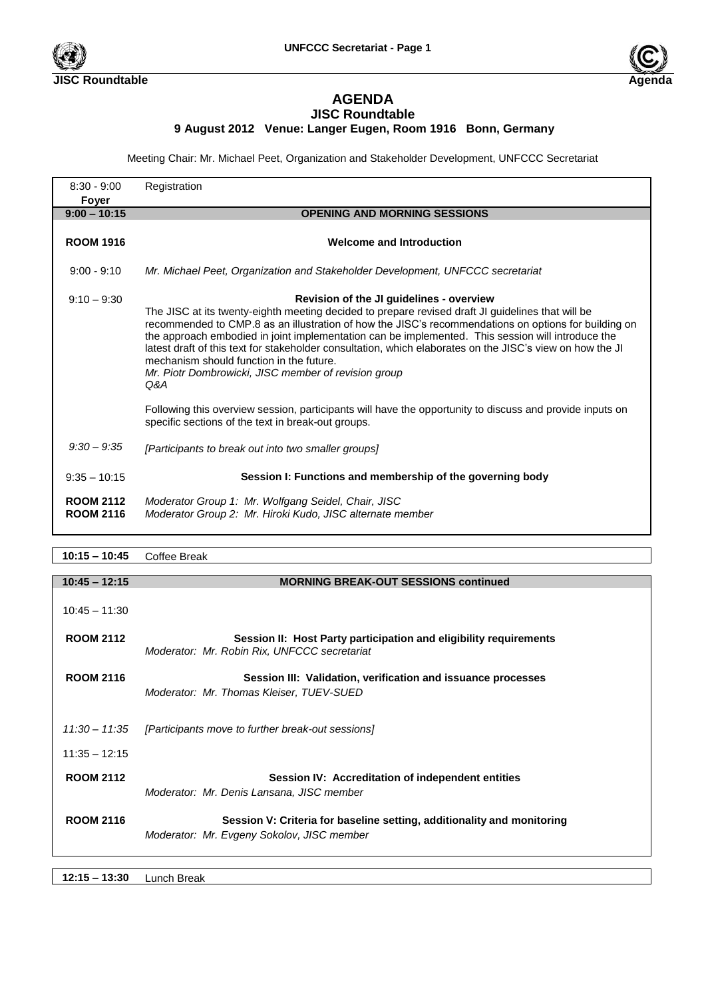



## **AGENDA JISC Roundtable**

## **9 August 2012 Venue: Langer Eugen, Room 1916 Bonn, Germany**

Meeting Chair: Mr. Michael Peet, Organization and Stakeholder Development, UNFCCC Secretariat

| $8:30 - 9:00$                        | Registration                                                                                                                                                                                                                                                                                                                                                                                                                                                                                                                                                                                                                                                                                                                                         |
|--------------------------------------|------------------------------------------------------------------------------------------------------------------------------------------------------------------------------------------------------------------------------------------------------------------------------------------------------------------------------------------------------------------------------------------------------------------------------------------------------------------------------------------------------------------------------------------------------------------------------------------------------------------------------------------------------------------------------------------------------------------------------------------------------|
| Foyer                                |                                                                                                                                                                                                                                                                                                                                                                                                                                                                                                                                                                                                                                                                                                                                                      |
| $9:00 - 10:15$                       | <b>OPENING AND MORNING SESSIONS</b>                                                                                                                                                                                                                                                                                                                                                                                                                                                                                                                                                                                                                                                                                                                  |
|                                      |                                                                                                                                                                                                                                                                                                                                                                                                                                                                                                                                                                                                                                                                                                                                                      |
| <b>ROOM 1916</b>                     | <b>Welcome and Introduction</b>                                                                                                                                                                                                                                                                                                                                                                                                                                                                                                                                                                                                                                                                                                                      |
| $9:00 - 9:10$                        | Mr. Michael Peet, Organization and Stakeholder Development, UNFCCC secretariat                                                                                                                                                                                                                                                                                                                                                                                                                                                                                                                                                                                                                                                                       |
| $9:10 - 9:30$                        | Revision of the JI guidelines - overview<br>The JISC at its twenty-eighth meeting decided to prepare revised draft JI guidelines that will be<br>recommended to CMP.8 as an illustration of how the JISC's recommendations on options for building on<br>the approach embodied in joint implementation can be implemented. This session will introduce the<br>latest draft of this text for stakeholder consultation, which elaborates on the JISC's view on how the JI<br>mechanism should function in the future.<br>Mr. Piotr Dombrowicki, JISC member of revision group<br>Q&A<br>Following this overview session, participants will have the opportunity to discuss and provide inputs on<br>specific sections of the text in break-out groups. |
| $9:30 - 9:35$                        | [Participants to break out into two smaller groups]                                                                                                                                                                                                                                                                                                                                                                                                                                                                                                                                                                                                                                                                                                  |
| $9:35 - 10:15$                       | Session I: Functions and membership of the governing body                                                                                                                                                                                                                                                                                                                                                                                                                                                                                                                                                                                                                                                                                            |
| <b>ROOM 2112</b><br><b>ROOM 2116</b> | Moderator Group 1: Mr. Wolfgang Seidel, Chair, JISC<br>Moderator Group 2: Mr. Hiroki Kudo, JISC alternate member                                                                                                                                                                                                                                                                                                                                                                                                                                                                                                                                                                                                                                     |

## **10:15 – 10:45** Coffee Break

| $10:45 - 12:15$  | <b>MORNING BREAK-OUT SESSIONS continued</b>                                                                       |
|------------------|-------------------------------------------------------------------------------------------------------------------|
|                  |                                                                                                                   |
| $10:45 - 11:30$  |                                                                                                                   |
| <b>ROOM 2112</b> | Session II: Host Party participation and eligibility requirements<br>Moderator: Mr. Robin Rix, UNFCCC secretariat |
| <b>ROOM 2116</b> | Session III: Validation, verification and issuance processes                                                      |
|                  | Moderator: Mr. Thomas Kleiser, TUEV-SUED                                                                          |
|                  |                                                                                                                   |
|                  |                                                                                                                   |
|                  | 11:30 - 11:35 [Participants move to further break-out sessions]                                                   |
| $11:35 - 12:15$  |                                                                                                                   |
|                  |                                                                                                                   |
| <b>ROOM 2112</b> | Session IV: Accreditation of independent entities                                                                 |
|                  | Moderator: Mr. Denis Lansana, JISC member                                                                         |
|                  |                                                                                                                   |
| <b>ROOM 2116</b> | Session V: Criteria for baseline setting, additionality and monitoring                                            |
|                  | Moderator: Mr. Evgeny Sokolov, JISC member                                                                        |
|                  |                                                                                                                   |